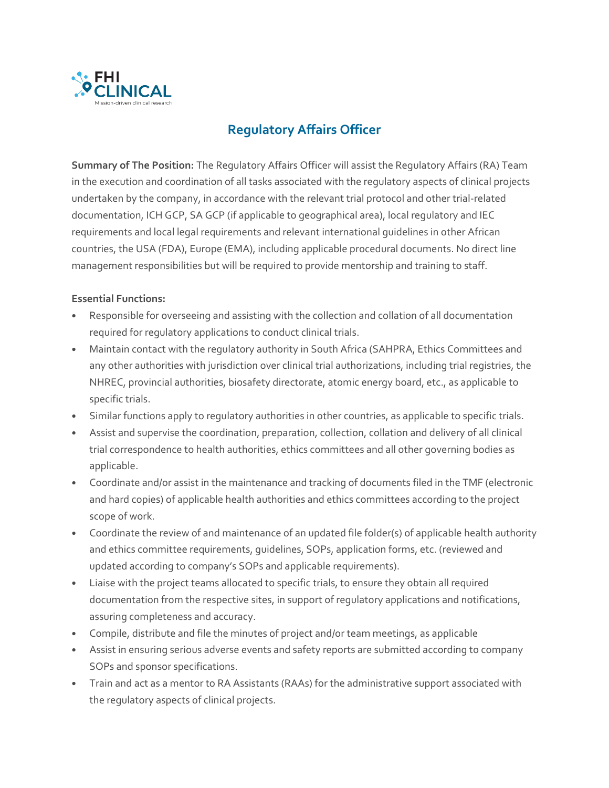

## **Regulatory Affairs Officer**

**Summary of The Position:** The Regulatory Affairs Officer will assist the Regulatory Affairs (RA) Team in the execution and coordination of all tasks associated with the regulatory aspects of clinical projects undertaken by the company, in accordance with the relevant trial protocol and other trial-related documentation, ICH GCP, SA GCP (if applicable to geographical area), local regulatory and IEC requirements and local legal requirements and relevant international guidelines in other African countries, the USA (FDA), Europe (EMA), including applicable procedural documents. No direct line management responsibilities but will be required to provide mentorship and training to staff.

## **Essential Functions:**

- Responsible for overseeing and assisting with the collection and collation of all documentation required for regulatory applications to conduct clinical trials.
- Maintain contact with the regulatory authority in South Africa (SAHPRA, Ethics Committees and any other authorities with jurisdiction over clinical trial authorizations, including trial registries, the NHREC, provincial authorities, biosafety directorate, atomic energy board, etc., as applicable to specific trials.
- Similar functions apply to regulatory authorities in other countries, as applicable to specific trials.
- Assist and supervise the coordination, preparation, collection, collation and delivery of all clinical trial correspondence to health authorities, ethics committees and all other governing bodies as applicable.
- Coordinate and/or assist in the maintenance and tracking of documents filed in the TMF (electronic and hard copies) of applicable health authorities and ethics committees according to the project scope of work.
- Coordinate the review of and maintenance of an updated file folder(s) of applicable health authority and ethics committee requirements, guidelines, SOPs, application forms, etc. (reviewed and updated according to company's SOPs and applicable requirements).
- Liaise with the project teams allocated to specific trials, to ensure they obtain all required documentation from the respective sites, in support of regulatory applications and notifications, assuring completeness and accuracy.
- Compile, distribute and file the minutes of project and/or team meetings, as applicable
- Assist in ensuring serious adverse events and safety reports are submitted according to company SOPs and sponsor specifications.
- Train and act as a mentor to RA Assistants (RAAs) for the administrative support associated with the regulatory aspects of clinical projects.